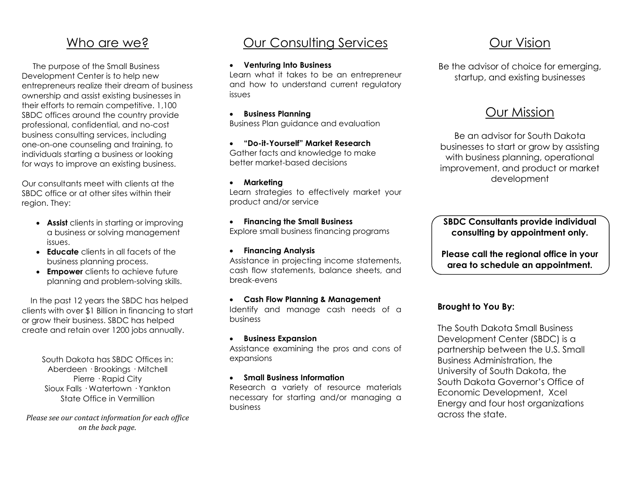## Who are we?

 The purpose of the Small Business Development Center is to help new entrepreneurs realize their dream of business ownership and assist existing businesses in their efforts to remain competitive. 1,100 SBDC offices around the country provide professional, confidential, and no-cost business consulting services, including one-on-one counseling and training, to individuals starting a business or looking for ways to improve an existing business.

Our consultants meet with clients at the SBDC office or at other sites within their region. They:

- **Assist** clients in starting or improving a business or solving management issues.
- **Educate** clients in all facets of the business planning process.
- **Empower** clients to achieve future planning and problem-solving skills.

 In the past 12 years the SBDC has helped clients with over \$1 Billion in financing to start or grow their business. SBDC has helped create and retain over 1200 jobs annually.

> South Dakota has SBDC Offices in: Aberdeen · Brookings · Mitchell Pierre · Rapid City Sioux Falls · Watertown · Yankton State Office in Vermillion

*Please see our contact information for each office on the back page.*

# Our Consulting Services

#### **Venturing Into Business**

Learn what it takes to be an entrepreneur and how to understand current regulatory issues

 **Business Planning** Business Plan guidance and evaluation

 **"Do-it-Yourself" Market Research** Gather facts and knowledge to make better market-based decisions

#### **Marketing**

Learn strategies to effectively market your product and/or service

#### **Financing the Small Business** Explore small business financing programs

**Financing Analysis**

Assistance in projecting income statements, cash flow statements, balance sheets, and break-evens

#### **Cash Flow Planning & Management**

Identify and manage cash needs of a business

#### **Business Expansion**

Assistance examining the pros and cons of expansions

#### **Small Business Information**

Research a variety of resource materials necessary for starting and/or managing a business

# Our Vision

Be the advisor of choice for emerging, startup, and existing businesses

## Our Mission

Be an advisor for South Dakota businesses to start or grow by assisting with business planning, operational improvement, and product or market development

**SBDC Consultants provide individual consulting by appointment only.**

**Please call the regional office in your area to schedule an appointment.**

### **Brought to You By:**

The South Dakota Small Business Development Center (SBDC) is a partnership between the U.S. Small Business Administration, the University of South Dakota, the South Dakota Governor's Office of Economic Development, Xcel Energy and four host organizations across the state.